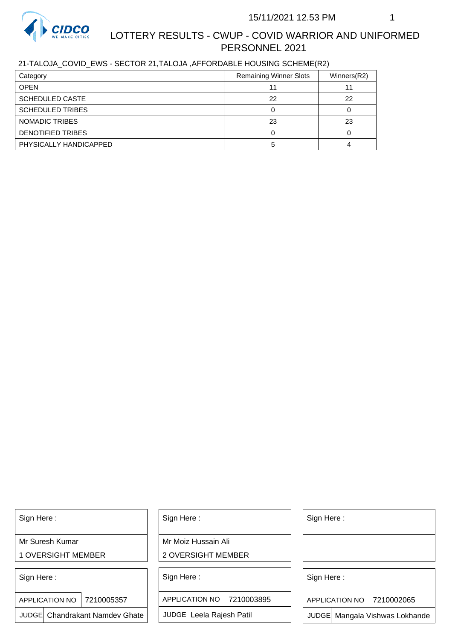

# LOTTERY RESULTS - CWUP - COVID WARRIOR AND UNIFORMED PERSONNEL 2021

### 21-TALOJA\_COVID\_EWS - SECTOR 21,TALOJA ,AFFORDABLE HOUSING SCHEME(R2)

| Category                 | <b>Remaining Winner Slots</b> | Winners(R2) |
|--------------------------|-------------------------------|-------------|
| <b>OPEN</b>              |                               |             |
| <b>SCHEDULED CASTE</b>   | 22                            | 22          |
| <b>SCHEDULED TRIBES</b>  |                               |             |
| NOMADIC TRIBES           | 23                            | 23          |
| <b>DENOTIFIED TRIBES</b> |                               |             |
| PHYSICALLY HANDICAPPED   |                               |             |

Sign Here :

Mr Suresh Kumar

1 OVERSIGHT MEMBER

Sign Here :

APPLICATION NO | 7210005357

JUDGE Chandrakant Namdev Ghate

Sign Here :

Mr Moiz Hussain Ali

2 OVERSIGHT MEMBER

Sign Here :

APPLICATION NO 7210003895

JUDGE Leela Rajesh Patil

Sign Here :

Sign Here :

APPLICATION NO | 7210002065

Chandrakant Namdev Ghate  $|\quad|$  JUDGE Leela Rajesh Patil  $|\quad|$  JUDGE Mangala Vishwas Lokhande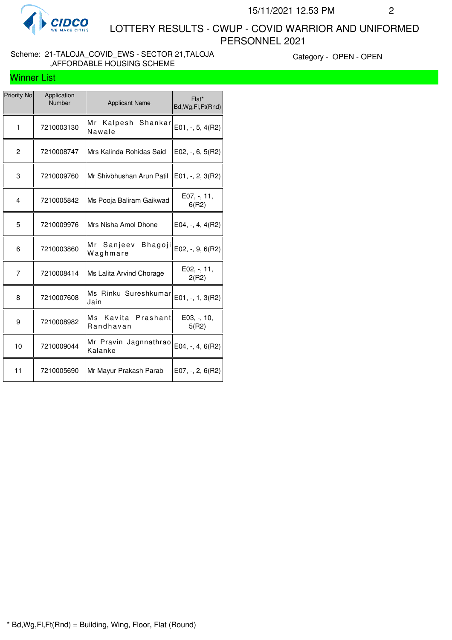

 LOTTERY RESULTS - CWUP - COVID WARRIOR AND UNIFORMED PERSONNEL 2021

#### Scheme: 21-TALOJA\_COVID\_EWS - SECTOR 21,TALOJA ,AFFORDABLE HOUSING SCHEME

Category - OPEN - OPEN

|  | Winner List |
|--|-------------|
|  |             |

| Priority No | Application<br>Number | <b>Applicant Name</b>                 | Flat*<br>Bd, Wg, Fl, Ft (Rnd) |
|-------------|-----------------------|---------------------------------------|-------------------------------|
| 1           | 7210003130            | Mr Kalpesh<br>Shankar<br>Nawale       | $E01, -5, 4(R2)$              |
| 2           | 7210008747            | Mrs Kalinda Rohidas Said              | E02, $-$ , 6, 5(R2)           |
| 3           | 7210009760            | Mr Shivbhushan Arun Patil             | $E01, -2, 3(R2)$              |
| 4           | 7210005842            | Ms Pooja Baliram Gaikwad              | $E07, -11,$<br>6(R2)          |
| 5           | 7210009976            | Mrs Nisha Amol Dhone                  | $E04, -, 4, 4(R2)$            |
| 6           | 7210003860            | Mr Sanjeev<br>Bhagoji<br>Waghmare     | E02, -, 9, 6(R2)              |
| 7           | 7210008414            | Ms Lalita Arvind Chorage              | E02, -, 11,<br>2(R2)          |
| 8           | 7210007608            | Ms Rinku Sureshkumar<br>Jain          | $E01, -1, 3(R2)$              |
| 9           | 7210008982            | Мs<br>Prashant<br>Kavita<br>Randhavan | $E03, -10,$<br>5(R2)          |
| 10          | 7210009044            | Mr Pravin Jagnnathrao<br>Kalanke      | $E04, -, 4, 6(R2)$            |
| 11          | 7210005690            | Mr Mayur Prakash Parab                | $E07, -2, 6(R2)$              |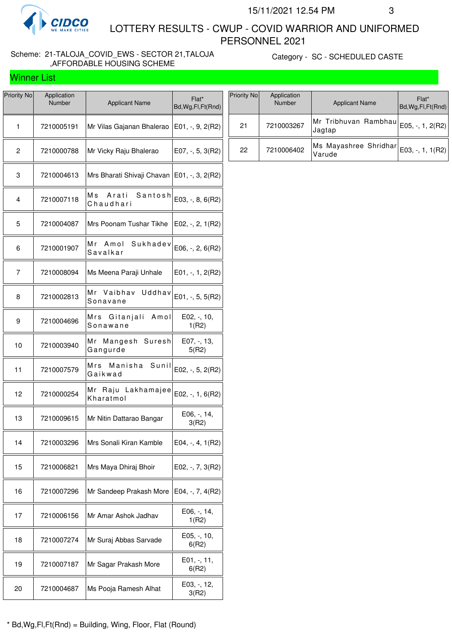

Winner List

 LOTTERY RESULTS - CWUP - COVID WARRIOR AND UNIFORMED PERSONNEL 2021

#### Scheme: 21-TALOJA\_COVID\_EWS - SECTOR 21,TALOJA ,AFFORDABLE HOUSING SCHEME

Category - SC - SCHEDULED CASTE

| Priority No    | Application<br>Number | <b>Applicant Name</b>                  | Flat*<br>Bd, Wg, Fl, Ft (Rnd) |
|----------------|-----------------------|----------------------------------------|-------------------------------|
| 1              | 7210005191            | Mr Vilas Gajanan Bhalerao              | $E01, -, 9, 2(R2)$            |
| $\overline{c}$ | 7210000788            | Mr Vicky Raju Bhalerao                 | E07, -, 5, 3(R2)              |
| 3              | 7210004613            | Mrs Bharati Shivaji Chavan             | $E01, -3, 2(R2)$              |
| 4              | 7210007118            | M s l<br>Arati<br>Santosh<br>Chaudhari | $E03, -, 8, 6(R2)$            |
| 5              | 7210004087            | Mrs Poonam Tushar Tikhe                | $E02, -2, 1(R2)$              |
| 6              | 7210001907            | Mr<br>Amol<br>Sukhadev<br>Savalkar     | $E06, -2, 6(R2)$              |
| 7              | 7210008094            | Ms Meena Paraji Unhale                 | $E01, -1, 1, 2(R2)$           |
| 8              | 7210002813            | Мr<br>Vaibhav<br>Uddhav<br>Sonavane    | $E01, -, 5, 5(R2)$            |
| 9              | 7210004696            | Gitanjali<br>Amol<br>Mrs<br>Sonawane   | E02, -, 10,<br>1(R2)          |
| 10             | 7210003940            | Mr<br>Mangesh Suresh<br>Gangurde       | E07, -, 13,<br>5(R2)          |
| 11             | 7210007579            | Mrs<br>Manisha<br>Sunil<br>Gaikwad     | E02, $-$ , 5, 2(R2)           |
| 12             | 7210000254            | Mr Raju Lakhamajee<br>Kharatmol        | $E02, -1, 6(R2)$              |
| 13             | 7210009615            | Mr Nitin Dattarao Bangar               | E06, -, 14,<br>3(R2)          |
| 14             | 7210003296            | Mrs Sonali Kiran Kamble                | $E04, -, 4, 1(R2)$            |
| 15             | 7210006821            | Mrs Maya Dhiraj Bhoir                  | E02, $-$ , $7$ , $3(R2)$      |
| 16             | 7210007296            | Mr Sandeep Prakash More                | E04, -, 7, 4(R2)              |
| 17             | 7210006156            | Mr Amar Ashok Jadhav                   | E06, -, 14,<br>1(R2)          |
| 18             | 7210007274            | Mr Suraj Abbas Sarvade                 | E05, -, 10,<br>6(R2)          |
| 19             | 7210007187            | Mr Sagar Prakash More                  | $E01, -11,$<br>6(R2)          |
| 20             | 7210004687            | Ms Pooja Ramesh Alhat                  | $E03, -12,$<br>3(R2)          |

| Priority No | Application<br>Number | <b>Applicant Name</b>                  | Flat*<br>Bd, Wg, Fl, Ft (Rnd) |
|-------------|-----------------------|----------------------------------------|-------------------------------|
| 21          | 7210003267            | Mr Tribhuvan Rambhau<br>Jagtap         | E05, -, 1, 2(R2)              |
| 22          | 7210006402            | Ms Mayashree Shridhar E03, -, 1, 1(R2) |                               |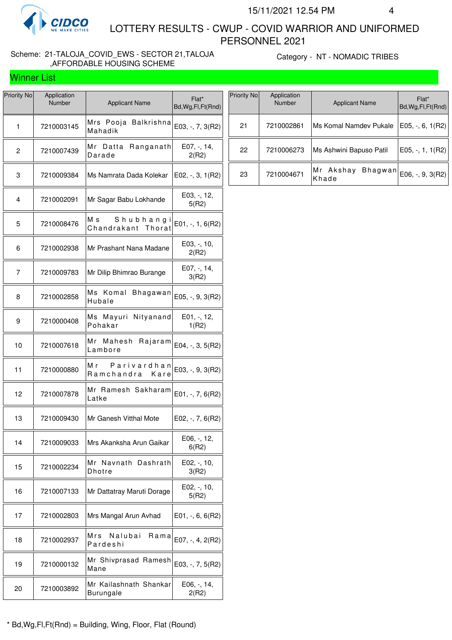

Winner List

Priority No Application

 LOTTERY RESULTS - CWUP - COVID WARRIOR AND UNIFORMED PERSONNEL 2021

#### Scheme: 21-TALOJA\_COVID\_EWS - SECTOR 21,TALOJA ,AFFORDABLE HOUSING SCHEME

 $\top$ 

 $\overline{\phantom{0}}$ 

T

Category - NT - NOMADIC TRIBES

| Priority No | Application<br>Number | <b>Applicant Name</b>                      | Flat*<br>Bd, Wg, Fl, Ft (Rnd) |
|-------------|-----------------------|--------------------------------------------|-------------------------------|
| 1           | 7210003145            | Mrs Pooja Balkrishna<br>Mahadik            | E03, -, 7, 3(R2)              |
| 2           | 7210007439            | Mr Datta<br>Ranganath<br>Darade            | E07, -, 14,<br>2(R2)          |
| 3           | 7210009384            | Ms Namrata Dada Kolekar                    | $E02, -3, 1(R2)$              |
| 4           | 7210002091            | Mr Sagar Babu Lokhande                     | E03, -, 12,<br>5(R2)          |
| 5           | 7210008476            | Мs<br>Shubhangi<br>Chandrakant<br>Thorat   | $E01, -, 1, 6(R2)$            |
| 6           | 7210002938            | Mr Prashant Nana Madane                    | E03, -, 10,<br>2(R2)          |
| 7           | 7210009783            | Mr Dilip Bhimrao Burange                   | E07, -, 14,<br>3(R2)          |
| 8           | 7210002858            | Ms Komal Bhagawan<br>Hubale                | E05, -, 9, 3(R2)              |
| 9           | 7210000408            | Ms Mayuri Nityanand<br>Pohakar             | E01, -, 12,<br>1(R2)          |
| 10          | 7210007618            | Mr Mahesh Rajaram<br>Lambore               | E04, -, 3, 5(R2)              |
| 11          | 7210000880            | Мr<br>Parivardhan<br>Ramchandra<br>Kare    | $E03, -, 9, 3(R2)$            |
| 12          | 7210007878            | Mr Ramesh Sakharam<br>Latke                | E01, -, 7, 6(R2)              |
| 13          | 7210009430            | Mr Ganesh Vitthal Mote                     | $E02, -7, 6(R2)$              |
| 14          | 7210009033            | Mrs Akanksha Arun Gaikar                   | E06, -, 12,<br>6(R2)          |
| 15          | 7210002234            | Mr Navnath Dashrath<br>Dhotre              | $E02, -110,$<br>3(R2)         |
| 16          | 7210007133            | Mr Dattatray Maruti Dorage                 | E02, -, 10,<br>5(R2)          |
| 17          | 7210002803            | Mrs Mangal Arun Avhad                      | $E01, -, 6, 6(R2)$            |
| 18          | 7210002937            | Mrs<br>Nalubai<br>Rama<br>Pardeshi         | E07, -, 4, 2(R2)              |
| 19          | 7210000132            | Mr Shivprasad Ramesh<br>Mane               | $E03, -7, 5(R2)$              |
| 20          | 7210003892            | Mr Kailashnath Shankar<br><b>Burungale</b> | E06, -, 14,<br>2(R2)          |

| Priority No | Application<br><b>Number</b> | <b>Applicant Name</b>          | Flat*<br>Bd, Wg, Fl, Ft (Rnd) |
|-------------|------------------------------|--------------------------------|-------------------------------|
| 21          | 7210002861                   | Ms Komal Namdev Pukale         | $E05, -, 6, 1(R2)$            |
| 22          | 7210006273                   | Ms Ashwini Bapuso Patil        | $E05, -1, 1(R2)$              |
| 23          | 7210004671                   | Mr Akshay<br>Bhagwan <br>Khade | $E06, -, 9, 3(R2)$            |